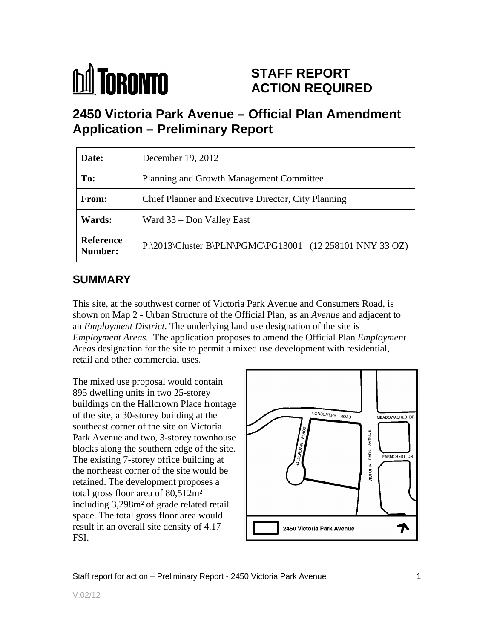

## **STAFF REPORT ACTION REQUIRED**

## **2450 Victoria Park Avenue – Official Plan Amendment Application – Preliminary Report**

| Date:                       | December 19, 2012                                                 |
|-----------------------------|-------------------------------------------------------------------|
| To:                         | Planning and Growth Management Committee                          |
| From:                       | Chief Planner and Executive Director, City Planning               |
| Wards:                      | Ward 33 – Don Valley East                                         |
| <b>Reference</b><br>Number: | $ P:\2013\text{Cluster B}\PLN\PGMC\PG13001$ (12 258101 NNY 33 OZ) |

## **SUMMARY**

This site, at the southwest corner of Victoria Park Avenue and Consumers Road, is shown on Map 2 - Urban Structure of the Official Plan, as an *Avenue* and adjacent to an *Employment District*. The underlying land use designation of the site is *Employment Areas.* The application proposes to amend the Official Plan *Employment Areas* designation for the site to permit a mixed use development with residential, retail and other commercial uses.

The mixed use proposal would contain 895 dwelling units in two 25-storey buildings on the Hallcrown Place frontage<br>
of the site a 30-storey building at the southeast corner of the site on Victoria<br>Park Avenue and two, 3-storey townhouse Park Avenue and two, 3-storey townhouse The existing 7-storey office building at<br>the northeast corner of the site would be the northeast corner of the site would be retained. The development proposes a total gross floor area of 80,512m² including 3,298m² of grade related retail space. The total gross floor area would result in an overall site density of 4.17 **IF 2450 Victoria Park Avenue** FSI.

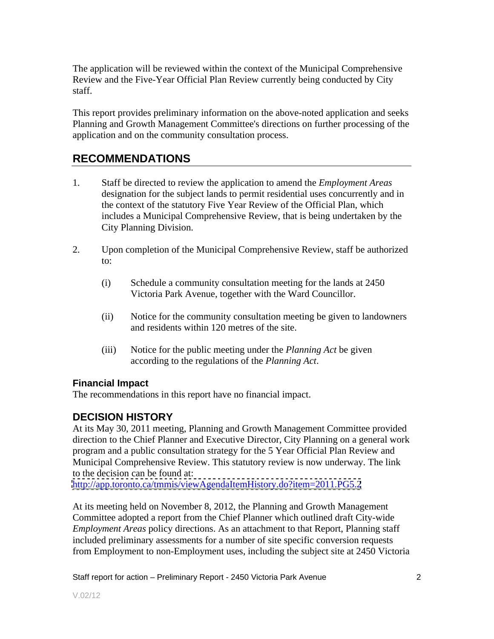The application will be reviewed within the context of the Municipal Comprehensive Review and the Five-Year Official Plan Review currently being conducted by City staff.

This report provides preliminary information on the above-noted application and seeks Planning and Growth Management Committee's directions on further processing of the application and on the community consultation process.

## **RECOMMENDATIONS**

- 1. Staff be directed to review the application to amend the *Employment Areas* designation for the subject lands to permit residential uses concurrently and in the context of the statutory Five Year Review of the Official Plan, which includes a Municipal Comprehensive Review, that is being undertaken by the City Planning Division.
- 2. Upon completion of the Municipal Comprehensive Review, staff be authorized to:
	- (i) Schedule a community consultation meeting for the lands at 2450 Victoria Park Avenue, together with the Ward Councillor.
	- (ii) Notice for the community consultation meeting be given to landowners and residents within 120 metres of the site.
	- (iii) Notice for the public meeting under the *Planning Act* be given according to the regulations of the *Planning Act*.

#### **Financial Impact**

The recommendations in this report have no financial impact.

#### **DECISION HISTORY**

At its May 30, 2011 meeting, Planning and Growth Management Committee provided direction to the Chief Planner and Executive Director, City Planning on a general work program and a public consultation strategy for the 5 Year Official Plan Review and Municipal Comprehensive Review. This statutory review is now underway. The link to the decision can be found at:

<http://app.toronto.ca/tmmis/viewAgendaItemHistory.do?item=2011.PG5.2>

At its meeting held on November 8, 2012, the Planning and Growth Management Committee adopted a report from the Chief Planner which outlined draft City-wide *Employment Areas* policy directions. As an attachment to that Report, Planning staff included preliminary assessments for a number of site specific conversion requests from Employment to non-Employment uses, including the subject site at 2450 Victoria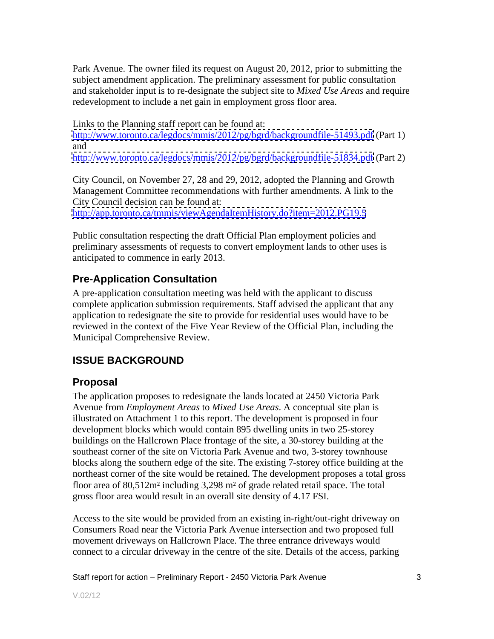Park Avenue. The owner filed its request on August 20, 2012, prior to submitting the subject amendment application. The preliminary assessment for public consultation and stakeholder input is to re-designate the subject site to *Mixed Use Areas* and require redevelopment to include a net gain in employment gross floor area.

Links to the Planning staff report can be found at: <http://www.toronto.ca/legdocs/mmis/2012/pg/bgrd/backgroundfile-51493.pdf> (Part 1) and

<http://www.toronto.ca/legdocs/mmis/2012/pg/bgrd/backgroundfile-51834.pdf> (Part 2)

City Council, on November 27, 28 and 29, 2012, adopted the Planning and Growth Management Committee recommendations with further amendments. A link to the City Council decision can be found at:

<http://app.toronto.ca/tmmis/viewAgendaItemHistory.do?item=2012.PG19.5>

Public consultation respecting the draft Official Plan employment policies and preliminary assessments of requests to convert employment lands to other uses is anticipated to commence in early 2013.

## **Pre-Application Consultation**

A pre-application consultation meeting was held with the applicant to discuss complete application submission requirements. Staff advised the applicant that any application to redesignate the site to provide for residential uses would have to be reviewed in the context of the Five Year Review of the Official Plan, including the Municipal Comprehensive Review.

## **ISSUE BACKGROUND**

## **Proposal**

The application proposes to redesignate the lands located at 2450 Victoria Park Avenue from *Employment Areas* to *Mixed Use Areas*. A conceptual site plan is illustrated on Attachment 1 to this report. The development is proposed in four development blocks which would contain 895 dwelling units in two 25-storey buildings on the Hallcrown Place frontage of the site, a 30-storey building at the southeast corner of the site on Victoria Park Avenue and two, 3-storey townhouse blocks along the southern edge of the site. The existing 7-storey office building at the northeast corner of the site would be retained. The development proposes a total gross floor area of 80,512m² including 3,298 m² of grade related retail space. The total gross floor area would result in an overall site density of 4.17 FSI.

Access to the site would be provided from an existing in-right/out-right driveway on Consumers Road near the Victoria Park Avenue intersection and two proposed full movement driveways on Hallcrown Place. The three entrance driveways would connect to a circular driveway in the centre of the site. Details of the access, parking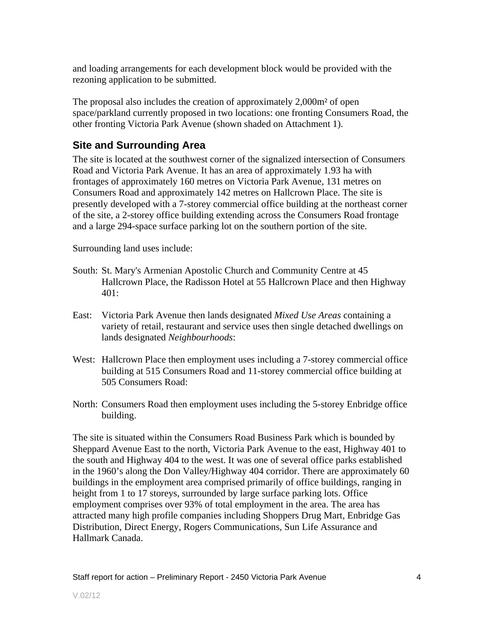and loading arrangements for each development block would be provided with the rezoning application to be submitted.

The proposal also includes the creation of approximately 2,000m² of open space/parkland currently proposed in two locations: one fronting Consumers Road, the other fronting Victoria Park Avenue (shown shaded on Attachment 1).

## **Site and Surrounding Area**

The site is located at the southwest corner of the signalized intersection of Consumers Road and Victoria Park Avenue. It has an area of approximately 1.93 ha with frontages of approximately 160 metres on Victoria Park Avenue, 131 metres on Consumers Road and approximately 142 metres on Hallcrown Place. The site is presently developed with a 7-storey commercial office building at the northeast corner of the site, a 2-storey office building extending across the Consumers Road frontage and a large 294-space surface parking lot on the southern portion of the site.

Surrounding land uses include:

- South: St. Mary's Armenian Apostolic Church and Community Centre at 45 Hallcrown Place, the Radisson Hotel at 55 Hallcrown Place and then Highway 401:
- East: Victoria Park Avenue then lands designated *Mixed Use Areas* containing a variety of retail, restaurant and service uses then single detached dwellings on lands designated *Neighbourhoods*:
- West: Hallcrown Place then employment uses including a 7-storey commercial office building at 515 Consumers Road and 11-storey commercial office building at 505 Consumers Road:
- North: Consumers Road then employment uses including the 5-storey Enbridge office building. The contract of the contract of the contract of the contract of the contract of the contract of the contract of the contract of the contract of the contract of the contract of the contract of the contract of the

The site is situated within the Consumers Road Business Park which is bounded by Sheppard Avenue East to the north, Victoria Park Avenue to the east, Highway 401 to the south and Highway 404 to the west. It was one of several office parks established in the 1960's along the Don Valley/Highway 404 corridor. There are approximately 60 buildings in the employment area comprised primarily of office buildings, ranging in height from 1 to 17 storeys, surrounded by large surface parking lots. Office employment comprises over 93% of total employment in the area. The area has attracted many high profile companies including Shoppers Drug Mart, Enbridge Gas Distribution, Direct Energy, Rogers Communications, Sun Life Assurance and Hallmark Canada.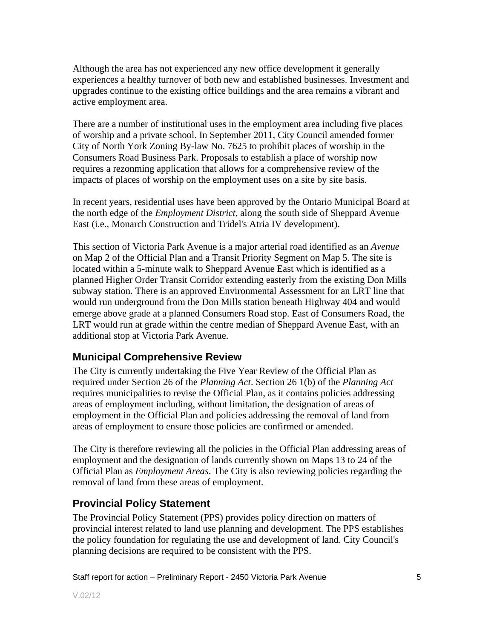Although the area has not experienced any new office development it generally experiences a healthy turnover of both new and established businesses. Investment and upgrades continue to the existing office buildings and the area remains a vibrant and active employment area.

There are a number of institutional uses in the employment area including five places of worship and a private school. In September 2011, City Council amended former City of North York Zoning By-law No. 7625 to prohibit places of worship in the Consumers Road Business Park. Proposals to establish a place of worship now requires a rezonming application that allows for a comprehensive review of the impacts of places of worship on the employment uses on a site by site basis.

In recent years, residential uses have been approved by the Ontario Municipal Board at the north edge of the *Employment District*, along the south side of Sheppard Avenue East (i.e., Monarch Construction and Tridel's Atria IV development).

This section of Victoria Park Avenue is a major arterial road identified as an *Avenue* on Map 2 of the Official Plan and a Transit Priority Segment on Map 5. The site is located within a 5-minute walk to Sheppard Avenue East which is identified as a planned Higher Order Transit Corridor extending easterly from the existing Don Mills subway station. There is an approved Environmental Assessment for an LRT line that would run underground from the Don Mills station beneath Highway 404 and would emerge above grade at a planned Consumers Road stop. East of Consumers Road, the LRT would run at grade within the centre median of Sheppard Avenue East, with an additional stop at Victoria Park Avenue.

#### **Municipal Comprehensive Review**

The City is currently undertaking the Five Year Review of the Official Plan as required under Section 26 of the *Planning Act*. Section 26 1(b) of the *Planning Act* requires municipalities to revise the Official Plan, as it contains policies addressing areas of employment including, without limitation, the designation of areas of employment in the Official Plan and policies addressing the removal of land from areas of employment to ensure those policies are confirmed or amended.

The City is therefore reviewing all the policies in the Official Plan addressing areas of employment and the designation of lands currently shown on Maps 13 to 24 of the Official Plan as *Employment Areas*. The City is also reviewing policies regarding the removal of land from these areas of employment.

## **Provincial Policy Statement**

The Provincial Policy Statement (PPS) provides policy direction on matters of provincial interest related to land use planning and development. The PPS establishes the policy foundation for regulating the use and development of land. City Council's planning decisions are required to be consistent with the PPS.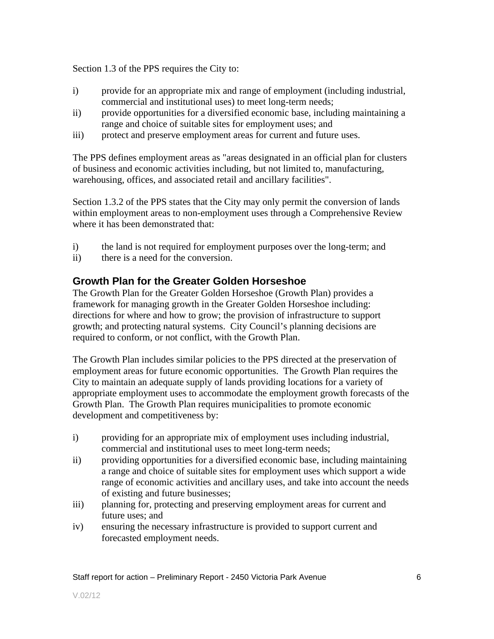Section 1.3 of the PPS requires the City to:

- i) provide for an appropriate mix and range of employment (including industrial, commercial and institutional uses) to meet long-term needs;
- ii) provide opportunities for a diversified economic base, including maintaining a range and choice of suitable sites for employment uses; and
- iii) protect and preserve employment areas for current and future uses.

The PPS defines employment areas as "areas designated in an official plan for clusters of business and economic activities including, but not limited to, manufacturing, warehousing, offices, and associated retail and ancillary facilities".

Section 1.3.2 of the PPS states that the City may only permit the conversion of lands within employment areas to non-employment uses through a Comprehensive Review where it has been demonstrated that:

- i) the land is not required for employment purposes over the long-term; and
- ii) there is a need for the conversion.

#### **Growth Plan for the Greater Golden Horseshoe**

The Growth Plan for the Greater Golden Horseshoe (Growth Plan) provides a framework for managing growth in the Greater Golden Horseshoe including: directions for where and how to grow; the provision of infrastructure to support growth; and protecting natural systems. City Council's planning decisions are required to conform, or not conflict, with the Growth Plan.

The Growth Plan includes similar policies to the PPS directed at the preservation of employment areas for future economic opportunities. The Growth Plan requires the City to maintain an adequate supply of lands providing locations for a variety of appropriate employment uses to accommodate the employment growth forecasts of the Growth Plan. The Growth Plan requires municipalities to promote economic development and competitiveness by:

- i) providing for an appropriate mix of employment uses including industrial, commercial and institutional uses to meet long-term needs;
- ii) providing opportunities for a diversified economic base, including maintaining a range and choice of suitable sites for employment uses which support a wide range of economic activities and ancillary uses, and take into account the needs of existing and future businesses;
- iii) planning for, protecting and preserving employment areas for current and future uses; and see all the set of the set of the set of the set of the set of the set of the set of the set of the set of the set of the set of the set of the set of the set of the set of the set of the set of the set of
- iv) ensuring the necessary infrastructure is provided to support current and forecasted employment needs.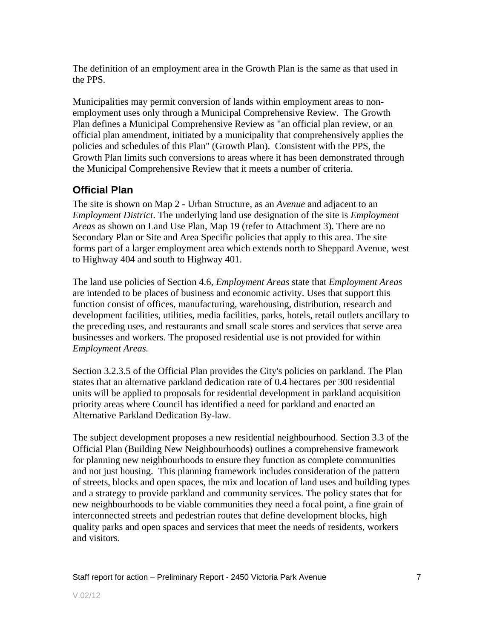The definition of an employment area in the Growth Plan is the same as that used in the PPS.

Municipalities may permit conversion of lands within employment areas to non employment uses only through a Municipal Comprehensive Review. The Growth Plan defines a Municipal Comprehensive Review as "an official plan review, or an official plan amendment, initiated by a municipality that comprehensively applies the policies and schedules of this Plan" (Growth Plan). Consistent with the PPS, the Growth Plan limits such conversions to areas where it has been demonstrated through the Municipal Comprehensive Review that it meets a number of criteria.

## **Official Plan**

The site is shown on Map 2 - Urban Structure, as an *Avenue* and adjacent to an *Employment District*. The underlying land use designation of the site is *Employment Areas* as shown on Land Use Plan, Map 19 (refer to Attachment 3). There are no Secondary Plan or Site and Area Specific policies that apply to this area. The site forms part of a larger employment area which extends north to Sheppard Avenue, west to Highway 404 and south to Highway 401.

The land use policies of Section 4.6, *Employment Areas* state that *Employment Areas* are intended to be places of business and economic activity. Uses that support this function consist of offices, manufacturing, warehousing, distribution, research and development facilities, utilities, media facilities, parks, hotels, retail outlets ancillary to the preceding uses, and restaurants and small scale stores and services that serve area businesses and workers. The proposed residential use is not provided for within *Employment Areas.*

Section 3.2.3.5 of the Official Plan provides the City's policies on parkland. The Plan states that an alternative parkland dedication rate of 0.4 hectares per 300 residential units will be applied to proposals for residential development in parkland acquisition priority areas where Council has identified a need for parkland and enacted an Alternative Parkland Dedication By-law.

The subject development proposes a new residential neighbourhood. Section 3.3 of the Official Plan (Building New Neighbourhoods) outlines a comprehensive framework for planning new neighbourhoods to ensure they function as complete communities and not just housing. This planning framework includes consideration of the pattern of streets, blocks and open spaces, the mix and location of land uses and building types and a strategy to provide parkland and community services. The policy states that for new neighbourhoods to be viable communities they need a focal point, a fine grain of interconnected streets and pedestrian routes that define development blocks, high quality parks and open spaces and services that meet the needs of residents, workers and visitors.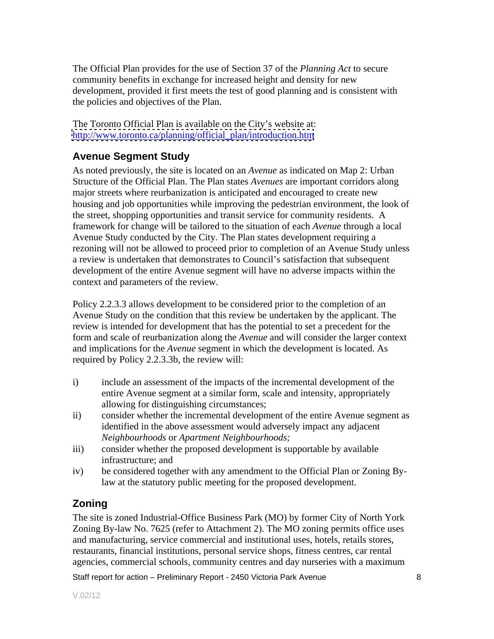The Official Plan provides for the use of Section 37 of the *Planning Act* to secure community benefits in exchange for increased height and density for new development, provided it first meets the test of good planning and is consistent with the policies and objectives of the Plan.

The Toronto Official Plan is available on the City's website at: [http://www.toronto.ca/planning/official\\_plan/introduction.htm](http://www.toronto.ca/planning/official_plan/introduction.htm)

## **Avenue Segment Study**

As noted previously, the site is located on an *Avenue* as indicated on Map 2: Urban Structure of the Official Plan. The Plan states *Avenues* are important corridors along major streets where reurbanization is anticipated and encouraged to create new housing and job opportunities while improving the pedestrian environment, the look of the street, shopping opportunities and transit service for community residents. A framework for change will be tailored to the situation of each *Avenue* through a local Avenue Study conducted by the City. The Plan states development requiring a rezoning will not be allowed to proceed prior to completion of an Avenue Study unless a review is undertaken that demonstrates to Council's satisfaction that subsequent development of the entire Avenue segment will have no adverse impacts within the context and parameters of the review.

Policy 2.2.3.3 allows development to be considered prior to the completion of an Avenue Study on the condition that this review be undertaken by the applicant. The review is intended for development that has the potential to set a precedent for the form and scale of reurbanization along the *Avenue* and will consider the larger context and implications for the *Avenue* segment in which the development is located. As required by Policy 2.2.3.3b, the review will:

- i) include an assessment of the impacts of the incremental development of the entire Avenue segment at a similar form, scale and intensity, appropriately allowing for distinguishing circumstances;
- ii) consider whether the incremental development of the entire Avenue segment as identified in the above assessment would adversely impact any adjacent *Neighbourhoods* or *Apartment Neighbourhoods;*
- iii) consider whether the proposed development is supportable by available infrastructure; and
- iv) be considered together with any amendment to the Official Plan or Zoning Bylaw at the statutory public meeting for the proposed development.

## **Zoning**

The site is zoned Industrial-Office Business Park (MO) by former City of North York Zoning By-law No. 7625 (refer to Attachment 2). The MO zoning permits office uses and manufacturing, service commercial and institutional uses, hotels, retails stores, restaurants, financial institutions, personal service shops, fitness centres, car rental agencies, commercial schools, community centres and day nurseries with a maximum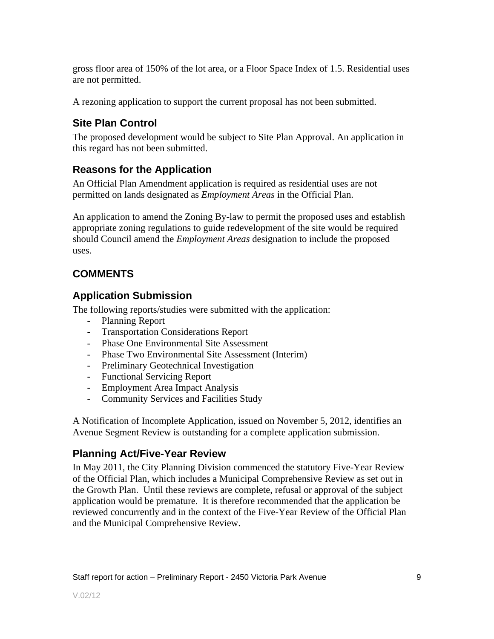gross floor area of 150% of the lot area, or a Floor Space Index of 1.5. Residential uses are not permitted.

A rezoning application to support the current proposal has not been submitted.

## **Site Plan Control**

The proposed development would be subject to Site Plan Approval. An application in this regard has not been submitted.

## **Reasons for the Application**

An Official Plan Amendment application is required as residential uses are not permitted on lands designated as *Employment Areas* in the Official Plan.

An application to amend the Zoning By-law to permit the proposed uses and establish appropriate zoning regulations to guide redevelopment of the site would be required should Council amend the *Employment Areas* designation to include the proposed uses.

## **COMMENTS**

## **Application Submission**

The following reports/studies were submitted with the application:

- Planning Report
- Transportation Considerations Report
- 
- Phase One Environmental Site Assessment<br>- Phase Two Environmental Site Assessment (Interim)
- Preliminary Geotechnical Investigation
- Functional Servicing Report
- Employment Area Impact Analysis
- Community Services and Facilities Study

A Notification of Incomplete Application, issued on November 5, 2012, identifies an Avenue Segment Review is outstanding for a complete application submission.

## **Planning Act/Five-Year Review**

In May 2011, the City Planning Division commenced the statutory Five-Year Review of the Official Plan, which includes a Municipal Comprehensive Review as set out in the Growth Plan. Until these reviews are complete, refusal or approval of the subject application would be premature. It is therefore recommended that the application be reviewed concurrently and in the context of the Five-Year Review of the Official Plan and the Municipal Comprehensive Review.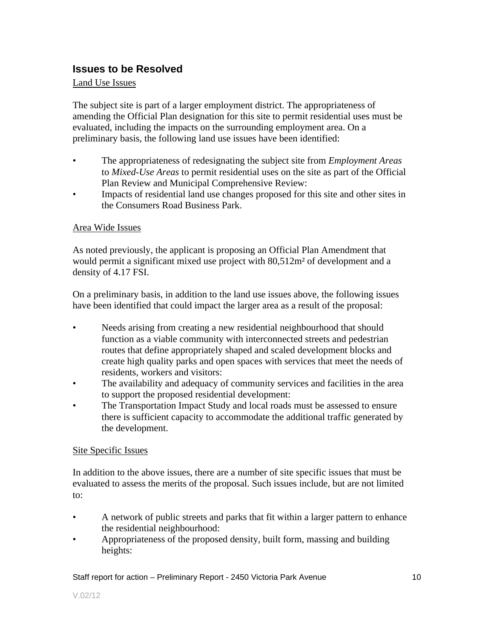### **Issues to be Resolved**

#### Land Use Issues **Land Use Issues**

The subject site is part of a larger employment district. The appropriateness of amending the Official Plan designation for this site to permit residential uses must be evaluated, including the impacts on the surrounding employment area. On a preliminary basis, the following land use issues have been identified:

- The appropriateness of redesignating the subject site from *Employment Areas* to *Mixed-Use Areas* to permit residential uses on the site as part of the Official Plan Review and Municipal Comprehensive Review:
- Impacts of residential land use changes proposed for this site and other sites in the Consumers Road Business Park.

#### Area Wide Issues

As noted previously, the applicant is proposing an Official Plan Amendment that would permit a significant mixed use project with 80,512m² of development and a density of 4.17 FSI.

On a preliminary basis, in addition to the land use issues above, the following issues have been identified that could impact the larger area as a result of the proposal:

- Needs arising from creating a new residential neighbourhood that should function as a viable community with interconnected streets and pedestrian routes that define appropriately shaped and scaled development blocks and create high quality parks and open spaces with services that meet the needs of residents, workers and visitors:
- The availability and adequacy of community services and facilities in the area to support the proposed residential development:
- The Transportation Impact Study and local roads must be assessed to ensure there is sufficient capacity to accommodate the additional traffic generated by the development.

#### Site Specific Issues

In addition to the above issues, there are a number of site specific issues that must be evaluated to assess the merits of the proposal. Such issues include, but are not limited to:

- A network of public streets and parks that fit within a larger pattern to enhance the residential neighbourhood:
- Appropriateness of the proposed density, built form, massing and building heights: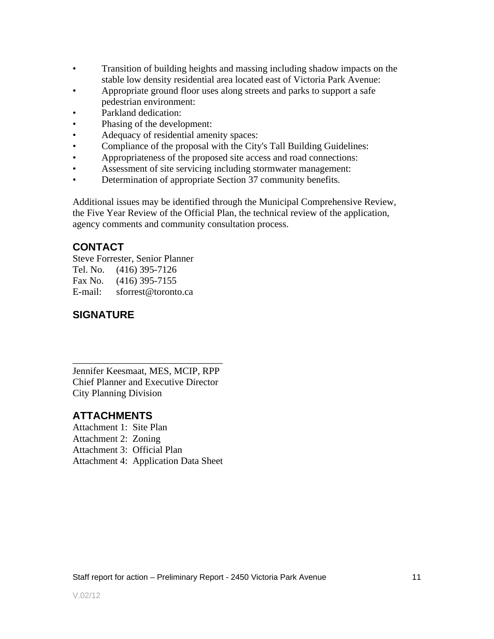- Transition of building heights and massing including shadow impacts on the stable low density residential area located east of Victoria Park Avenue:
- Appropriate ground floor uses along streets and parks to support a safe pedestrian environment:
- Parkland dedication:
- Phasing of the development:
- Adequacy of residential amenity spaces:
- Compliance of the proposal with the City's Tall Building Guidelines:
- Appropriateness of the proposed site access and road connections:
- Assessment of site servicing including stormwater management:
- Determination of appropriate Section 37 community benefits.

Additional issues may be identified through the Municipal Comprehensive Review, the Five Year Review of the Official Plan, the technical review of the application, agency comments and community consultation process.

## **CONTACT**

Steve Forrester, Senior Planner Tel. No. (416) 395-7126 Fax No. (416) 395-7155 E-mail: sforrest@toronto.ca

## **SIGNATURE**

 $\overline{\phantom{a}}$  , we can assume that the contract of  $\overline{\phantom{a}}$  , we can assume that the contract of  $\overline{\phantom{a}}$ Jennifer Keesmaat, MES, MCIP, RPP Chief Planner and Executive Director City Planning Division

## **ATTACHMENTS**

Attachment 1: Site Plan Attachment 2: Zoning Attachment 3: Official Plan Attachment 4: Application Data Sheet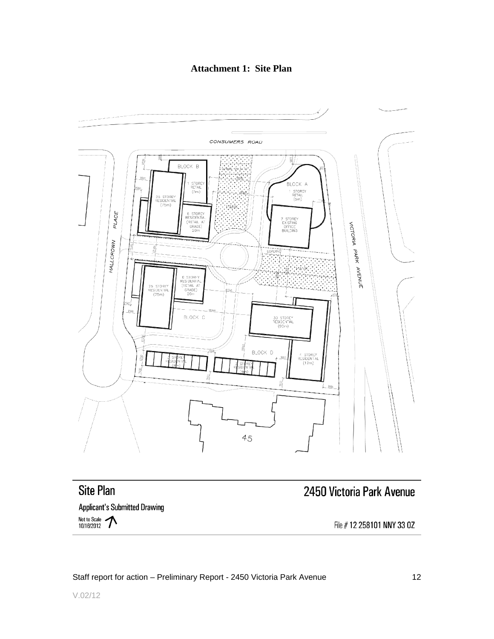#### **Attachment 1: Site Plan**



# **Site Plan**

## 2450 Victoria Park Avenue

**Applicant's Submitted Drawing** 

Not to Scale 10/16/2012

File # 12 258101 NNY 33 0Z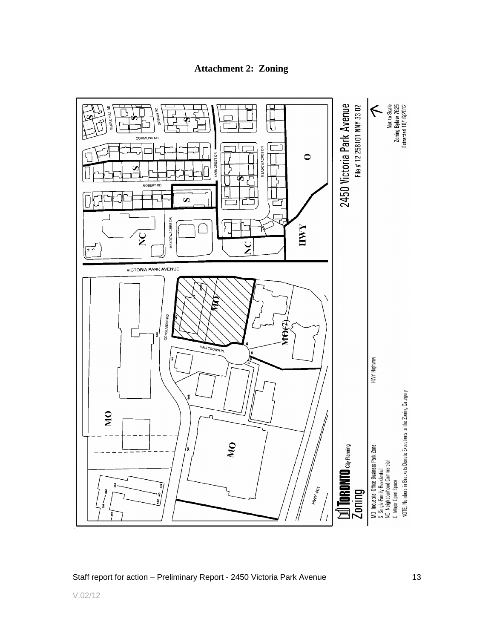**Attachment 2: Zoning**

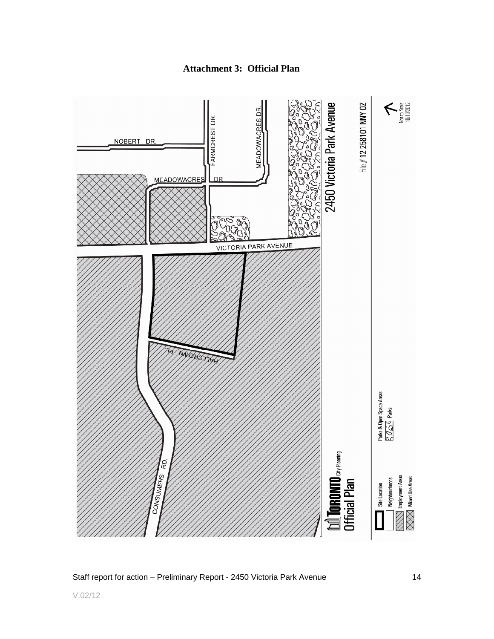**Attachment 3: Official Plan**